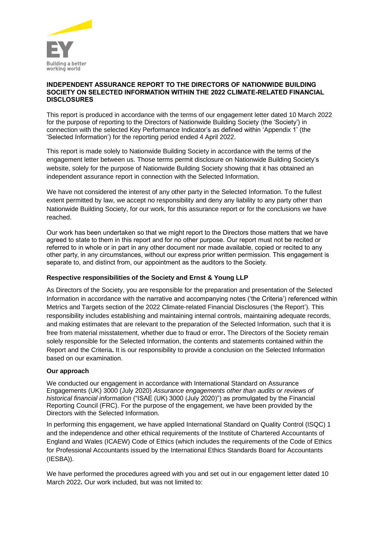

#### **INDEPENDENT ASSURANCE REPORT TO THE DIRECTORS OF NATIONWIDE BUILDING SOCIETY ON SELECTED INFORMATION WITHIN THE 2022 CLIMATE-RELATED FINANCIAL DISCLOSURES**

This report is produced in accordance with the terms of our engagement letter dated 10 March 2022 for the purpose of reporting to the Directors of Nationwide Building Society (the 'Society') in connection with the selected Key Performance Indicator's as defined within 'Appendix 1' (the 'Selected Information') for the reporting period ended 4 April 2022.

This report is made solely to Nationwide Building Society in accordance with the terms of the engagement letter between us. Those terms permit disclosure on Nationwide Building Society's website, solely for the purpose of Nationwide Building Society showing that it has obtained an independent assurance report in connection with the Selected Information.

We have not considered the interest of any other party in the Selected Information. To the fullest extent permitted by law, we accept no responsibility and deny any liability to any party other than Nationwide Building Society, for our work, for this assurance report or for the conclusions we have reached.

Our work has been undertaken so that we might report to the Directors those matters that we have agreed to state to them in this report and for no other purpose. Our report must not be recited or referred to in whole or in part in any other document nor made available, copied or recited to any other party, in any circumstances, without our express prior written permission. This engagement is separate to, and distinct from, our appointment as the auditors to the Society.

### **Respective responsibilities of the Society and Ernst & Young LLP**

As Directors of the Society, you are responsible for the preparation and presentation of the Selected Information in accordance with the narrative and accompanying notes ('the Criteria') referenced within Metrics and Targets section of the 2022 Climate-related Financial Disclosures ('the Report'). This responsibility includes establishing and maintaining internal controls, maintaining adequate records, and making estimates that are relevant to the preparation of the Selected Information, such that it is free from material misstatement, whether due to fraud or error**.** The Directors of the Society remain solely responsible for the Selected Information, the contents and statements contained within the Report and the Criteria**.** It is our responsibility to provide a conclusion on the Selected Information based on our examination.

## **Our approach**

We conducted our engagement in accordance with International Standard on Assurance Engagements (UK) 3000 (July 2020) *Assurance engagements other than audits or reviews of historical financial information* ("ISAE (UK) 3000 (July 2020)") as promulgated by the Financial Reporting Council (FRC). For the purpose of the engagement, we have been provided by the Directors with the Selected Information.

In performing this engagement, we have applied International Standard on Quality Control (ISQC) 1 and the independence and other ethical requirements of the Institute of Chartered Accountants of England and Wales (ICAEW) Code of Ethics (which includes the requirements of the Code of Ethics for Professional Accountants issued by the International Ethics Standards Board for Accountants (IESBA)).

We have performed the procedures agreed with you and set out in our engagement letter dated 10 March 2022**.** Our work included, but was not limited to: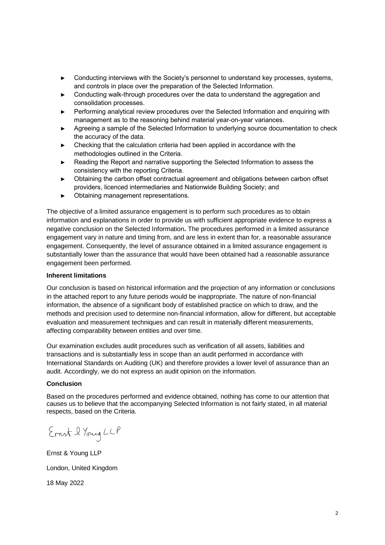- Conducting interviews with the Society's personnel to understand key processes, systems, and controls in place over the preparation of the Selected Information.
- Conducting walk-through procedures over the data to understand the aggregation and consolidation processes.
- Performing analytical review procedures over the Selected Information and enquiring with management as to the reasoning behind material year-on-year variances.
- Agreeing a sample of the Selected Information to underlying source documentation to check the accuracy of the data.
- Checking that the calculation criteria had been applied in accordance with the methodologies outlined in the Criteria.
- Reading the Report and narrative supporting the Selected Information to assess the consistency with the reporting Criteria.
- ► Obtaining the carbon offset contractual agreement and obligations between carbon offset providers, licenced intermediaries and Nationwide Building Society; and
- ► Obtaining management representations.

The objective of a limited assurance engagement is to perform such procedures as to obtain information and explanations in order to provide us with sufficient appropriate evidence to express a negative conclusion on the Selected Information**.** The procedures performed in a limited assurance engagement vary in nature and timing from, and are less in extent than for, a reasonable assurance engagement. Consequently, the level of assurance obtained in a limited assurance engagement is substantially lower than the assurance that would have been obtained had a reasonable assurance engagement been performed.

### **Inherent limitations**

Our conclusion is based on historical information and the projection of any information or conclusions in the attached report to any future periods would be inappropriate. The nature of non-financial information, the absence of a significant body of established practice on which to draw, and the methods and precision used to determine non-financial information, allow for different, but acceptable evaluation and measurement techniques and can result in materially different measurements, affecting comparability between entities and over time.

Our examination excludes audit procedures such as verification of all assets, liabilities and transactions and is substantially less in scope than an audit performed in accordance with International Standards on Auditing (UK) and therefore provides a lower level of assurance than an audit. Accordingly, we do not express an audit opinion on the information*.*

### **Conclusion**

Based on the procedures performed and evidence obtained, nothing has come to our attention that causes us to believe that the accompanying Selected Information is not fairly stated, in all material respects, based on the Criteria.

Ernst l Young LLP

Ernst & Young LLP London, United Kingdom 18 May 2022